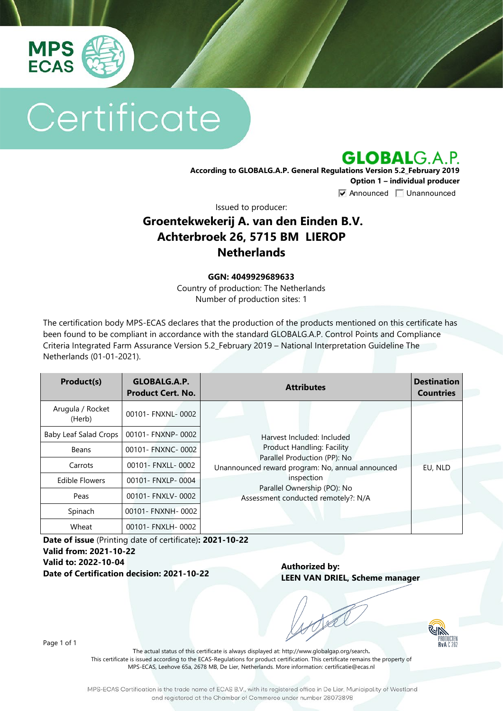

# Certificate

**GLOBALG.A.P.** 

**According to GLOBALG.A.P. General Regulations Version 5.2\_February 2019 Option 1 – individual producer**  $\nabla$  Announced  $\nabla$  Unannounced

Issued to producer:

### **Groentekwekerij A. van den Einden B.V. Achterbroek 26, 5715 BM LIEROP Netherlands**

#### **GGN: 4049929689633**

Country of production: The Netherlands Number of production sites: 1

The certification body MPS-ECAS declares that the production of the products mentioned on this certificate has been found to be compliant in accordance with the standard GLOBALG.A.P. Control Points and Compliance Criteria Integrated Farm Assurance Version 5.2\_February 2019 – National Interpretation Guideline The Netherlands (01-01-2021).

| Product(s)                 | GLOBALG.A.P.<br><b>Product Cert. No.</b> | <b>Attributes</b>                                                                                                                                                                                                                       | <b>Destination</b><br><b>Countries</b> |
|----------------------------|------------------------------------------|-----------------------------------------------------------------------------------------------------------------------------------------------------------------------------------------------------------------------------------------|----------------------------------------|
| Arugula / Rocket<br>(Herb) | 00101- FNXNL-0002                        | Harvest Included: Included<br><b>Product Handling: Facility</b><br>Parallel Production (PP): No<br>Unannounced reward program: No, annual announced<br>inspection<br>Parallel Ownership (PO): No<br>Assessment conducted remotely?: N/A |                                        |
| Baby Leaf Salad Crops      | 00101- FNXNP-0002                        |                                                                                                                                                                                                                                         |                                        |
| Beans                      | 00101- FNXNC- 0002                       |                                                                                                                                                                                                                                         |                                        |
| Carrots                    | 00101- FNXLL-0002                        |                                                                                                                                                                                                                                         | EU, NLD                                |
| <b>Edible Flowers</b>      | 00101- FNXLP-0004                        |                                                                                                                                                                                                                                         |                                        |
| Peas                       | 00101- FNXLV-0002                        |                                                                                                                                                                                                                                         |                                        |
| Spinach                    | 00101- FNXNH- 0002                       |                                                                                                                                                                                                                                         |                                        |
| Wheat                      | 00101- FNXLH- 0002                       |                                                                                                                                                                                                                                         |                                        |

**Date of issue** (Printing date of certificate)**: 2021-10-22 Valid from: 2021-10-22 Valid to: 2022-10-04 Date of Certification decision: 2021-10-22**

**Authorized by: LEEN VAN DRIEL, Scheme manager**



Page 1 of 1

The actual status of this certificate is always displayed at: <http://www.globalgap.org/search>**.**  This certificate is issued according to the ECAS-Regulations for product certification. This certificate remains the property of MPS-ECAS, Leehove 65a, 2678 MB, De Lier, Netherlands. More information[: certificatie@ecas.nl](mailto:certificatie@ecas.nl)